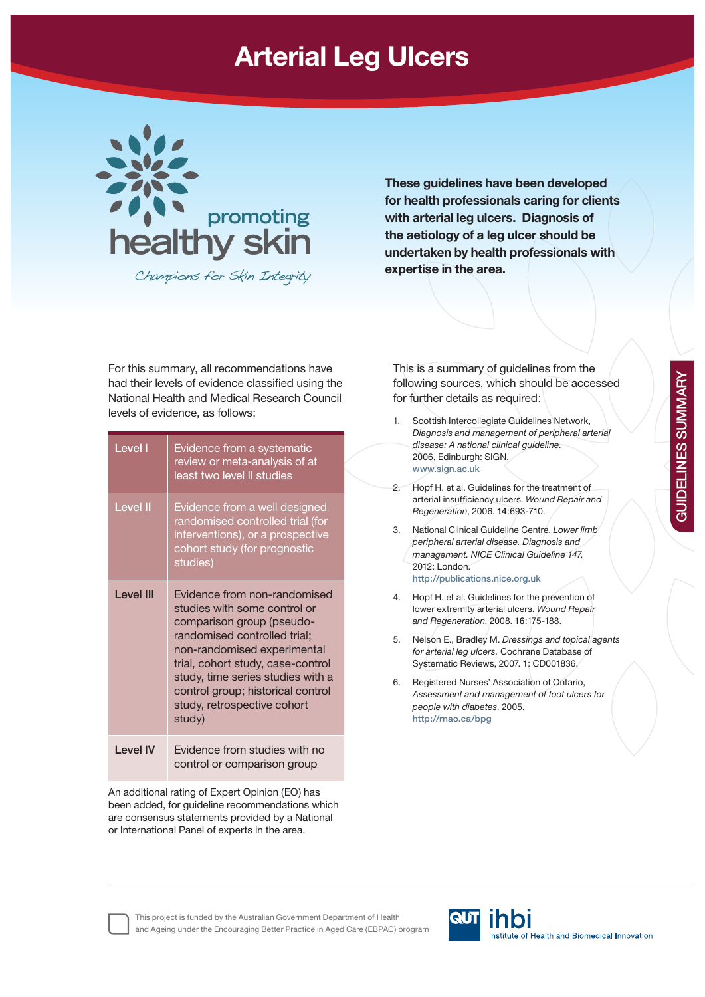## **Arterial Leg Ulcers**



Champions for Skin Integrity

**These guidelines have been developed for health professionals caring for clients with arterial leg ulcers. Diagnosis of the aetiology of a leg ulcer should be undertaken by health professionals with expertise in the area.**

For this summary, all recommendations have had their levels of evidence classified using the National Health and Medical Research Council levels of evidence, as follows:

| Level I          | Evidence from a systematic<br>review or meta-analysis of at<br>least two level II studies                                                                                                                                                                                                                        |
|------------------|------------------------------------------------------------------------------------------------------------------------------------------------------------------------------------------------------------------------------------------------------------------------------------------------------------------|
| <b>Level II</b>  | Evidence from a well designed<br>randomised controlled trial (for<br>interventions), or a prospective<br>cohort study (for prognostic<br>studies)                                                                                                                                                                |
| <b>Level III</b> | Evidence from non-randomised<br>studies with some control or<br>comparison group (pseudo-<br>randomised controlled trial;<br>non-randomised experimental<br>trial, cohort study, case-control<br>study, time series studies with a<br>control group; historical control<br>study, retrospective cohort<br>study) |
| I evel IV        | Evidence from studies with no<br>control or comparison group                                                                                                                                                                                                                                                     |

An additional rating of Expert Opinion (EO) has been added, for guideline recommendations which are consensus statements provided by a National or International Panel of experts in the area.

This is a summary of guidelines from the following sources, which should be accessed for further details as required:

- 1. Scottish Intercollegiate Guidelines Network, *Diagnosis and management of peripheral arterial disease: A national clinical guideline.* 2006, Edinburgh: SIGN. **www.sign.ac.uk** 2. Hopf H. et al. Guidelines for the treatment of arterial insufficiency ulcers. Wound Repair and *Regeneration*, 2006. **14**:693-710. 3. National Clinical Guideline Centre, *Lower limb peripheral arterial disease. Diagnosis and management. NICE Clinical Guideline 147,* 2012: London. **http://publications.nice.org.uk**  4. Hopf H. et al. Guidelines for the prevention of lower extremity arterial ulcers. *Wound Repair and Regeneration*, 2008. **16**:175-188. 5. Nelson E., Bradley M. *Dressings and topical agents for arterial leg ulcers.* Cochrane Database of Systematic Reviews, 2007. **1**: CD001836. 6. Registered Nurses' Association of Ontario, *Assessment and management of foot ulcers for people with diabetes*. 2005. **http://rnao.ca/bpg**
- **GUIDELINES SUMMARY GUIDELINES SUMMARY**

**QUT Thoi** This project is funded by the Australian Government Department of Health and Ageing under the Encouraging Better Practice in Aged Care (EBPAC) programInstitute of Health and Biomedical Innovation

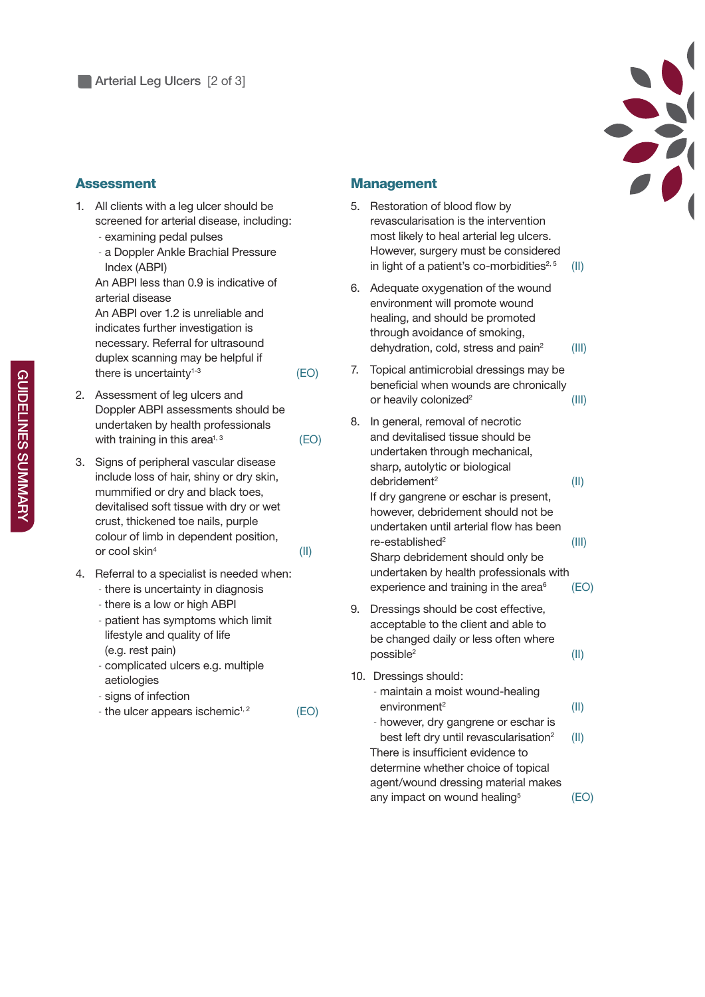

## **Assessment**

- 1. All clients with a leg ulcer should be screened for arterial disease, including:
	- examining pedal pulses
	- a Doppler Ankle Brachial Pressure Index (ABPI)

An ABPI less than 0.9 is indicative of arterial disease An ABPI over 1.2 is unreliable and indicates further investigation is necessary. Referral for ultrasound duplex scanning may be helpful if there is uncertainty<sup> $1-3$ </sup> (EO)

- 2. Assessment of leg ulcers and Doppler ABPI assessments should be undertaken by health professionals with training in this area<sup> $1,3$ </sup> (EO)
- 3. Signs of peripheral vascular disease include loss of hair, shiny or dry skin, mummified or dry and black toes. devitalised soft tissue with dry or wet crust, thickened toe nails, purple colour of limb in dependent position, or cool skin $^4$  (II)
- 4. Referral to a specialist is needed when:
	- there is uncertainty in diagnosis
	- there is a low or high ABPI
	- patient has symptoms which limit lifestyle and quality of life (e.g. rest pain)
	- complicated ulcers e.g. multiple aetiologies
	- signs of infection
	- the ulcer appears ischemic<sup> $1, 2$ </sup> (EO)

## **Management**

- 5. Restoration of blood flow by revascularisation is the intervention most likely to heal arterial leg ulcers. However, surgery must be considered in light of a patient's co-morbidities $2.5$  (II)
- 6. Adequate oxygenation of the wound environment will promote wound healing, and should be promoted through avoidance of smoking. dehydration, cold, stress and  $\text{pain}^2$  (III)
- 7. Topical antimicrobial dressings may be beneficial when wounds are chronically or heavily colonized<sup>2</sup> (III)
- 8. In general, removal of necrotic and devitalised tissue should be undertaken through mechanical, sharp, autolytic or biological debridement2 (II) If dry gangrene or eschar is present, however, debridement should not be undertaken until arterial flow has been re-established2 (III) Sharp debridement should only be undertaken by health professionals with experience and training in the area $6$  (EO)
- 9. Dressings should be cost effective, acceptable to the client and able to be changed daily or less often where  $\text{possible}^2$  (II)
- 10. Dressings should:
	- maintain a moist wound-healing environment2 (II) - however, dry gangrene or eschar is best left dry until revascularisation<sup>2</sup> (II) There is insufficient evidence to determine whether choice of topical agent/wound dressing material makes

any impact on wound healing<sup>5</sup>  $(EO)$